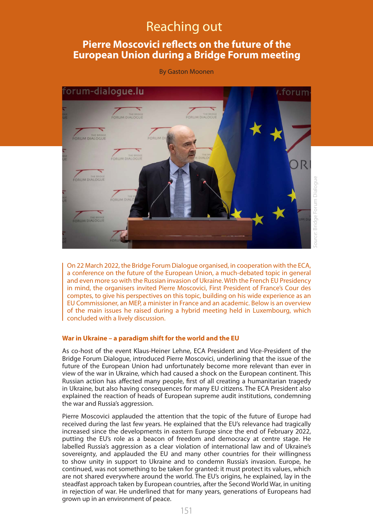# Reaching out

## **Pierre Moscovici reflects on the future of the European Union during a Bridge Forum meeting**

By Gaston Moonen



On 22 March 2022, the Bridge Forum Dialogue organised, in cooperation with the ECA, a conference on the future of the European Union, a much-debated topic in general and even more so with the Russian invasion of Ukraine. With the French EU Presidency in mind, the organisers invited Pierre Moscovici, First President of France's Cour des comptes, to give his perspectives on this topic, building on his wide experience as an EU Commissioner, an MEP, a minister in France and an academic. Below is an overview of the main issues he raised during a hybrid meeting held in Luxembourg, which concluded with a lively discussion.

#### **War in Ukraine – a paradigm shift for the world and the EU**

As co-host of the event Klaus-Heiner Lehne, ECA President and Vice-President of the Bridge Forum Dialogue, introduced Pierre Moscovici, underlining that the issue of the future of the European Union had unfortunately become more relevant than ever in view of the war in Ukraine, which had caused a shock on the European continent. This Russian action has affected many people, first of all creating a humanitarian tragedy in Ukraine, but also having consequences for many EU citizens. The ECA President also explained the reaction of heads of European supreme audit institutions, condemning the war and Russia's aggression.

Pierre Moscovici applauded the attention that the topic of the future of Europe had received during the last few years. He explained that the EU's relevance had tragically increased since the developments in eastern Europe since the end of February 2022, putting the EU's role as a beacon of freedom and democracy at centre stage. He labelled Russia's aggression as a clear violation of international law and of Ukraine's sovereignty, and applauded the EU and many other countries for their willingness to show unity in support to Ukraine and to condemn Russia's invasion. Europe, he continued, was not something to be taken for granted: it must protect its values, which are not shared everywhere around the world. The EU's origins, he explained, lay in the steadfast approach taken by European countries, after the Second World War, in uniting in rejection of war. He underlined that for many years, generations of Europeans had grown up in an environment of peace.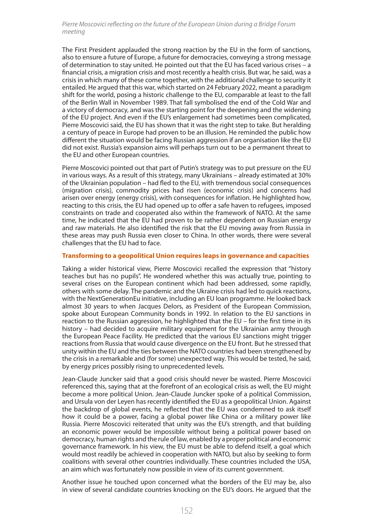### Pierre Moscovici reflecting on the future of the European Union during a Bridge Forum meeting

The First President applauded the strong reaction by the EU in the form of sanctions, also to ensure a future of Europe, a future for democracies, conveying a strong message of determination to stay united. He pointed out that the EU has faced various crises – a financial crisis, a migration crisis and most recently a health crisis. But war, he said, was a crisis in which many of these come together, with the additional challenge to security it entailed. He argued that this war, which started on 24 February 2022, meant a paradigm shift for the world, posing a historic challenge to the EU, comparable at least to the fall of the Berlin Wall in November 1989. That fall symbolised the end of the Cold War and a victory of democracy, and was the starting point for the deepening and the widening of the EU project. And even if the EU's enlargement had sometimes been complicated, Pierre Moscovici said, the EU has shown that it was the right step to take. But heralding a century of peace in Europe had proven to be an illusion. He reminded the public how different the situation would be facing Russian aggression if an organisation like the EU did not exist. Russia's expansion aims will perhaps turn out to be a permanent threat to the EU and other European countries.

Pierre Moscovici pointed out that part of Putin's strategy was to put pressure on the EU in various ways. As a result of this strategy, many Ukrainians – already estimated at 30% of the Ukrainian population – had fled to the EU, with tremendous social consequences (migration crisis), commodity prices had risen (economic crisis) and concerns had arisen over energy (energy crisis), with consequences for inflation. He highlighted how, reacting to this crisis, the EU had opened up to offer a safe haven to refugees, imposed constraints on trade and cooperated also within the framework of NATO. At the same time, he indicated that the EU had proven to be rather dependent on Russian energy and raw materials. He also identified the risk that the EU moving away from Russia in these areas may push Russia even closer to China. In other words, there were several challenges that the EU had to face.

#### **Transforming to a geopolitical Union requires leaps in governance and capacities**

Taking a wider historical view, Pierre Moscovici recalled the expression that "history teaches but has no pupils". He wondered whether this was actually true, pointing to several crises on the European continent which had been addressed, some rapidly, others with some delay. The pandemic and the Ukraine crisis had led to quick reactions, with the NextGenerationEu initiative, including an EU loan programme. He looked back almost 30 years to when Jacques Delors, as President of the European Commission, spoke about European Community bonds in 1992. In relation to the EU sanctions in reaction to the Russian aggression, he highlighted that the EU – for the first time in its history – had decided to acquire military equipment for the Ukrainian army through the European Peace Facility. He predicted that the various EU sanctions might trigger reactions from Russia that would cause divergence on the EU front. But he stressed that unity within the EU and the ties between the NATO countries had been strengthened by the crisis in a remarkable and (for some) unexpected way. This would be tested, he said, by energy prices possibly rising to unprecedented levels.

Jean-Claude Juncker said that a good crisis should never be wasted. Pierre Moscovici referenced this, saying that at the forefront of an ecological crisis as well, the EU might become a more political Union. Jean-Claude Juncker spoke of a political Commission, and Ursula von der Leyen has recently identified the EU as a geopolitical Union. Against the backdrop of global events, he reflected that the EU was condemned to ask itself how it could be a power, facing a global power like China or a military power like Russia. Pierre Moscovici reiterated that unity was the EU's strength, and that building an economic power would be impossible without being a political power based on democracy, human rights and the rule of law, enabled by a proper political and economic governance framework. In his view, the EU must be able to defend itself, a goal which would most readily be achieved in cooperation with NATO, but also by seeking to form coalitions with several other countries individually. These countries included the USA, an aim which was fortunately now possible in view of its current government.

Another issue he touched upon concerned what the borders of the EU may be, also in view of several candidate countries knocking on the EU's doors. He argued that the